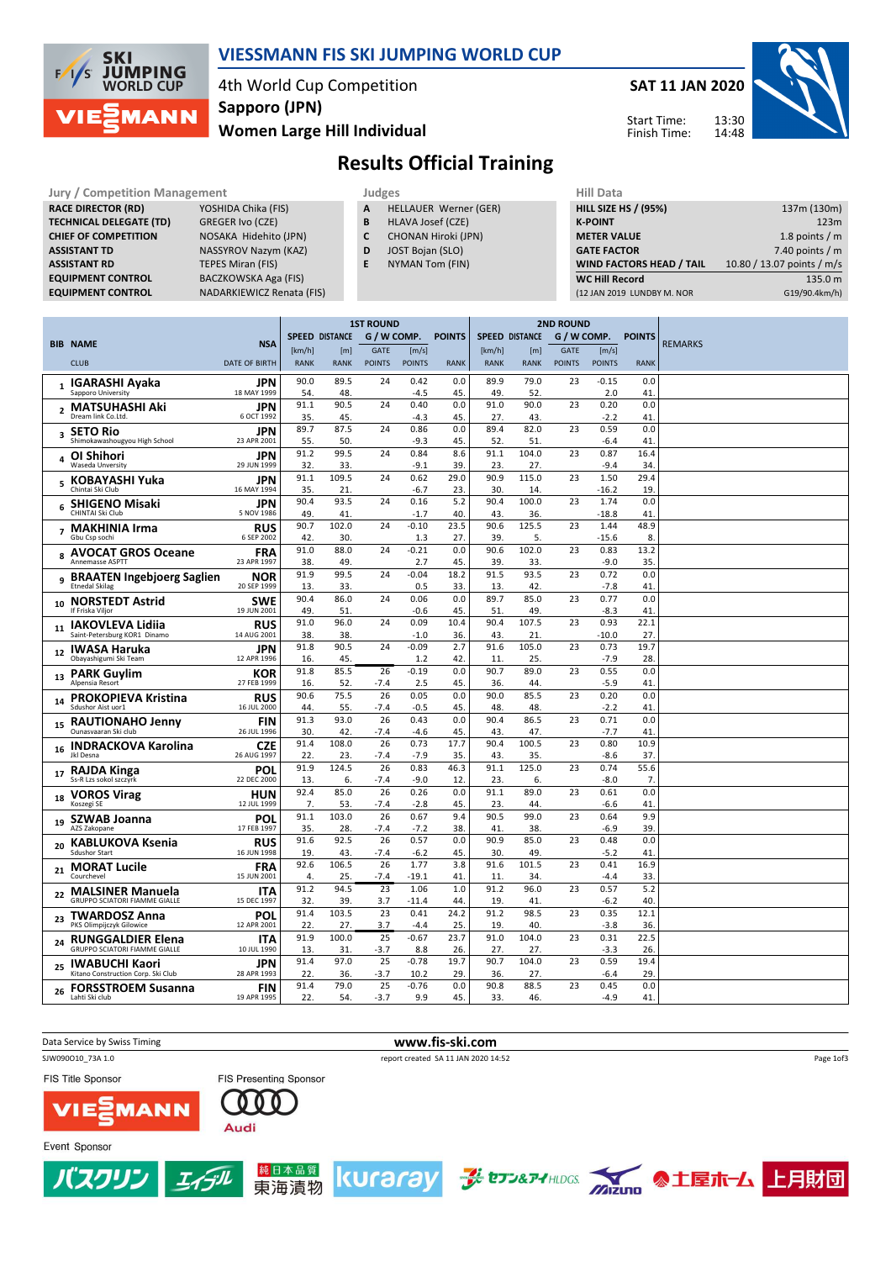

### VIESSMANN FIS SKI JUMPING WORLD CUP

4th World Cup Competition Sapporo (JPN)

#### Women Large Hill Individual



Start Time: Finish Time:



## Results Official Training

Jury / Competition Management<br> **RACE DIRECTOR (RD)** YOSHIDA Chika (FIS) **A HELLAUER Werner (GER)** HILL SIZE HILL SIZE RACE DIRECTOR (RD) **TECHNICAL DELEGATE (TD)** GREGER Ivo (CZE)<br> **CHIEF OF COMPETITION** NOSAKA Hidehito **ASSISTANT RD** TEPES Miran (FIS)<br> **EQUIPMENT CONTROL** BACZKOWSKA Aga

NOSAKA Hidehito (JPN) ASSISTANT TD NASSYROV Nazym (KAZ) BACZKOWSKA Aga (FIS) EQUIPMENT CONTROL NADARKIEWICZ Renata (FIS)

- A HELLAUER Werner (GER)
- **B** HLAVA Josef (CZE)<br>**C** CHONAN Hiroki (JP CHONAN Hiroki (JPN)
- D JOST Bojan (SLO)
	-
- E NYMAN Tom (FIN)

| vala                            |                            |
|---------------------------------|----------------------------|
| <b>HILL SIZE HS / (95%)</b>     | 137m (130m)                |
| <b>K-POINT</b>                  | 123m                       |
| <b>METER VALUE</b>              | 1.8 points $/m$            |
| <b>GATE FACTOR</b>              | 7.40 points $/m$           |
| <b>WIND FACTORS HEAD / TAIL</b> | 10.80 / 13.07 points / m/s |
| <b>WC Hill Record</b>           | 135.0 m                    |
| (12 JAN 2019 LUNDBY M. NOR      | G19/90.4km/h)              |

|                |                                                                  |                           | <b>1ST ROUND</b> |                       |               |                |               | <b>2ND ROUND</b>      |              |               |                 |               |         |
|----------------|------------------------------------------------------------------|---------------------------|------------------|-----------------------|---------------|----------------|---------------|-----------------------|--------------|---------------|-----------------|---------------|---------|
|                | <b>BIB NAME</b>                                                  | <b>NSA</b>                |                  | <b>SPEED DISTANCE</b> | G / W COMP.   |                | <b>POINTS</b> | <b>SPEED DISTANCE</b> |              | G / W COMP.   |                 | <b>POINTS</b> | REMARKS |
|                |                                                                  |                           | [km/h]           | [m]                   | <b>GATE</b>   | [m/s]          |               | [km/h]                | [m]          | <b>GATE</b>   | [m/s]           |               |         |
|                | <b>CLUB</b>                                                      | <b>DATE OF BIRTH</b>      | <b>RANK</b>      | <b>RANK</b>           | <b>POINTS</b> | <b>POINTS</b>  | <b>RANK</b>   | <b>RANK</b>           | <b>RANK</b>  | <b>POINTS</b> | <b>POINTS</b>   | <b>RANK</b>   |         |
| $\mathbf{1}$   | <b>IGARASHI Ayaka</b>                                            | JPN                       | 90.0             | 89.5                  | 24            | 0.42           | 0.0           | 89.9                  | 79.0         | 23            | $-0.15$         | 0.0           |         |
|                | Sapporo University                                               | 18 MAY 1999               | 54               | 48.                   |               | -4.5           | 45.           | 49.                   | 52.          |               | 2.0             | 41            |         |
| $\overline{2}$ | <b>MATSUHASHI Aki</b><br>Dream link Co.Ltd.                      | <b>JPN</b><br>6 OCT 1992  | 91.1             | 90.5                  | 24            | 0.40           | 0.0           | 91.0                  | 90.0         | 23            | 0.20            | 0.0           |         |
|                |                                                                  |                           | 35.<br>89.7      | 45.<br>87.5           | 24            | $-4.3$<br>0.86 | 45.<br>0.0    | 27.<br>89.4           | 43.<br>82.0  | 23            | $-2.2$<br>0.59  | 41<br>0.0     |         |
| 3              | <b>SETO Rio</b><br>Shimokawashougyou High School                 | JPN<br>23 APR 2001        | 55.              | 50.                   |               | $-9.3$         | 45.           | 52.                   | 51.          |               | $-6.4$          | 41            |         |
|                | OI Shihori                                                       | JPN                       | 91.2             | 99.5                  | 24            | 0.84           | 8.6           | 91.1                  | 104.0        | 23            | 0.87            | 16.4          |         |
|                | Waseda Unversity                                                 | 29 JUN 1999               | 32.              | 33.                   |               | $-9.1$         | 39.           | 23.                   | 27.          |               | $-9.4$          | 34            |         |
| 5              | KOBAYASHI Yuka                                                   | JPN                       | 91.1             | 109.5                 | 24            | 0.62           | 29.0          | 90.9                  | 115.0        | 23            | 1.50            | 29.4          |         |
|                | Chintai Ski Club                                                 | 16 MAY 1994               | 35.              | 21.                   |               | -6.7           | 23.           | 30.                   | 14.          |               | $-16.2$         | 19            |         |
| 6              | <b>SHIGENO Misaki</b><br>CHINTAI Ski Club                        | JPN<br>5 NOV 1986         | 90.4<br>49       | 93.5<br>41.           | 24            | 0.16<br>$-1.7$ | 5.2<br>40.    | 90.4<br>43.           | 100.0<br>36. | 23            | 1.74<br>$-18.8$ | 0.0<br>41     |         |
|                | 7 MAKHINIA Irma                                                  | <b>RUS</b>                | 90.7             | 102.0                 | 24            | $-0.10$        | 23.5          | 90.6                  | 125.5        | 23            | 1.44            | 48.9          |         |
|                | Gbu Csp sochi                                                    | 6 SEP 2002                | 42.              | 30.                   |               | 1.3            | 27.           | 39.                   | 5.           |               | $-15.6$         | 8             |         |
| 8              | <b>AVOCAT GROS Oceane</b>                                        | <b>FRA</b>                | 91.0             | 88.0                  | 24            | $-0.21$        | 0.0           | 90.6                  | 102.0        | 23            | 0.83            | 13.2          |         |
|                | Annemasse ASPTT                                                  | 23 APR 1997               | 38.              | 49.                   |               | 2.7            | 45.           | 39.                   | 33.          |               | $-9.0$          | 35.           |         |
| 9              | <b>BRAATEN Ingebjoerg Saglien</b>                                | <b>NOR</b>                | 91.9             | 99.5                  | 24            | $-0.04$        | 18.2          | 91.5                  | 93.5         | 23            | 0.72            | 0.0           |         |
|                | <b>Etnedal Skilag</b>                                            | 20 SEP 1999               | 13.<br>90.4      | 33.<br>86.0           | 24            | 0.5<br>0.06    | 33.<br>0.0    | 13.<br>89.7           | 42.<br>85.0  | 23            | $-7.8$<br>0.77  | 41<br>0.0     |         |
| 10             | <b>NORSTEDT Astrid</b><br>If Friska Viljor                       | <b>SWE</b><br>19 JUN 2001 | 49.              | 51.                   |               | $-0.6$         | 45.           | 51.                   | 49.          |               | $-8.3$          | 41            |         |
|                | <b>IAKOVLEVA Lidiia</b>                                          | <b>RUS</b>                | 91.0             | 96.0                  | 24            | 0.09           | 10.4          | 90.4                  | 107.5        | 23            | 0.93            | 22.1          |         |
| 11             | Saint-Petersburg KOR1 Dinamo                                     | 14 AUG 2001               | 38.              | 38.                   |               | $-1.0$         | 36.           | 43.                   | 21.          |               | $-10.0$         | 27            |         |
| 12             | <b>IWASA Haruka</b>                                              | JPN                       | 91.8             | 90.5                  | 24            | $-0.09$        | 2.7           | 91.6                  | 105.0        | 23            | 0.73            | 19.7          |         |
|                | Obayashigumi Ski Team                                            | 12 APR 1996               | 16.              | 45.                   |               | 1.2            | 42.           | 11                    | 25.          |               | $-7.9$          | 28            |         |
| 13             | <b>PARK Guylim</b>                                               | KOR<br>27 FEB 1999        | 91.8             | 85.5                  | 26            | $-0.19$        | 0.0           | 90.7                  | 89.0         | 23            | 0.55            | 0.0           |         |
|                | Alpensia Resort                                                  |                           | 16.<br>90.6      | 52.<br>75.5           | $-7.4$<br>26  | 2.5<br>0.05    | 45.<br>0.0    | 36.<br>90.0           | 44.<br>85.5  | 23            | $-5.9$<br>0.20  | 41<br>0.0     |         |
| 14             | <b>PROKOPIEVA Kristina</b><br>Sdushor Aist uor1                  | <b>RUS</b><br>16 JUL 2000 | 44.              | 55.                   | -7.4          | -0.5           | 45.           | 48.                   | 48.          |               | $-2.2$          | 41            |         |
| 15             | <b>RAUTIONAHO Jenny</b>                                          | <b>FIN</b>                | 91.3             | 93.0                  | 26            | 0.43           | 0.0           | 90.4                  | 86.5         | 23            | 0.71            | 0.0           |         |
|                | Ounasvaaran Ski club                                             | 26 JUL 1996               | 30.              | 42.                   | -7.4          | -4.6           | 45.           | 43.                   | 47.          |               | $-7.7$          | 41            |         |
| 16             | <b>INDRACKOVA Karolina</b>                                       | <b>CZE</b>                | 91.4             | 108.0                 | 26            | 0.73           | 17.7          | 90.4                  | 100.5        | 23            | 0.80            | 10.9          |         |
|                | Jkl Desna                                                        | 26 AUG 1997               | 22.              | 23.                   | -7.4          | $-7.9$         | 35.           | 43.                   | 35.          | 23            | $-8.6$          | 37            |         |
| 17             | RAJDA Kinga<br>Ss-R Lzs sokol szczyrk                            | POL<br>22 DEC 2000        | 91.9<br>13.      | 124.5<br>6.           | 26<br>-7.4    | 0.83<br>$-9.0$ | 46.3<br>12    | 91.1<br>23.           | 125.0<br>6.  |               | 0.74<br>$-8.0$  | 55.6<br>7.    |         |
|                | <b>VOROS Virag</b>                                               | HUN                       | 92.4             | 85.0                  | 26            | 0.26           | 0.0           | 91.1                  | 89.0         | 23            | 0.61            | 0.0           |         |
| 18             | Koszegi SE                                                       | 12 JUL 1999               | 7.               | 53.                   | $-7.4$        | $-2.8$         | 45.           | 23.                   | 44.          |               | $-6.6$          | 41            |         |
| 19             | <b>SZWAB Joanna</b>                                              | POL                       | 91.1             | 103.0                 | 26            | 0.67           | 9.4           | 90.5                  | 99.0         | 23            | 0.64            | 9.9           |         |
|                | AZS Zakopane                                                     | 17 FEB 1997               | 35.              | 28.                   | -7.4          | $-7.2$         | 38.           | 41.                   | 38.          |               | $-6.9$          | 39            |         |
| 20             | KABLUKOVA Ksenia<br><b>Sdushor Start</b>                         | <b>RUS</b><br>16 JUN 1998 | 91.6<br>19.      | 92.5<br>43.           | 26<br>-7.4    | 0.57<br>$-6.2$ | 0.0<br>45.    | 90.9<br>30.           | 85.0<br>49.  | 23            | 0.48<br>$-5.2$  | 0.0<br>41     |         |
|                |                                                                  |                           | 92.6             | 106.5                 | 26            | 1.77           | 3.8           | 91.6                  | 101.5        | 23            | 0.41            | 16.9          |         |
| 21             | <b>MORAT Lucile</b><br>Courchevel                                | <b>FRA</b><br>15 JUN 2001 | 4.               | 25.                   | $-7.4$        | $-19.1$        | 41            | 11                    | 34.          |               | $-4.4$          | 33            |         |
|                | <b>MALSINER Manuela</b>                                          | <b>ITA</b>                | 91.2             | 94.5                  | 23            | 1.06           | 1.0           | 91.2                  | 96.0         | 23            | 0.57            | 5.2           |         |
| 22             | <b>GRUPPO SCIATORI FIAMME GIALLE</b>                             | 15 DEC 1997               | 32.              | 39.                   | 3.7           | $-11.4$        | 44            | 19.                   | 41.          |               | -6.2            | 40            |         |
| 23             | <b>TWARDOSZ Anna</b>                                             | POL                       | 91.4             | 103.5                 | 23            | 0.41           | 24.2          | 91.2                  | 98.5         | 23            | 0.35            | 12.1          |         |
|                | PKS Olimpijczyk Gilowice                                         | 12 APR 2001               | 22.              | 27.                   | 3.7           | -4.4           | 25.           | 19.                   | 40.          |               | $-3.8$          | 36.           |         |
| 24             | <b>RUNGGALDIER Elena</b><br><b>GRUPPO SCIATORI FIAMME GIALLE</b> | <b>ITA</b><br>10 JUL 1990 | 91.9<br>13.      | 100.0<br>31.          | 25<br>-3.7    | $-0.67$<br>8.8 | 23.7<br>26.   | 91.0<br>27.           | 104.0<br>27. | 23            | 0.31<br>$-3.3$  | 22.5<br>26.   |         |
|                | <b>IWABUCHI Kaori</b>                                            | JPN                       | 91.4             | 97.0                  | 25            | $-0.78$        | 19.7          | 90.7                  | 104.0        | 23            | 0.59            | 19.4          |         |
| 25             | Kitano Construction Corp. Ski Club                               | 28 APR 1993               | 22.              | 36.                   | $-3.7$        | 10.2           | 29.           | 36.                   | 27.          |               | $-6.4$          | 29            |         |
| 26             | <b>FORSSTROEM Susanna</b>                                        | <b>FIN</b>                | 91.4             | 79.0                  | 25            | $-0.76$        | 0.0           | 90.8                  | 88.5         | 23            | 0.45            | 0.0           |         |
|                | Lahti Ski club                                                   | 19 APR 1995               | 22.              | 54.                   | $-3.7$        | 9.9            | 45.           | 33.                   | 46.          |               | $-4.9$          | 41            |         |

Data Service by Swiss Timing **www.fis-ski.com** SJW090O10\_73A 1.0 report created SA 11 JAN 2020 14:52 Page 1of3FIS Title Sponsor FIS Presenting Sponsor 000 T **MANN** Audi Event Sponsor



 $I_4$ 



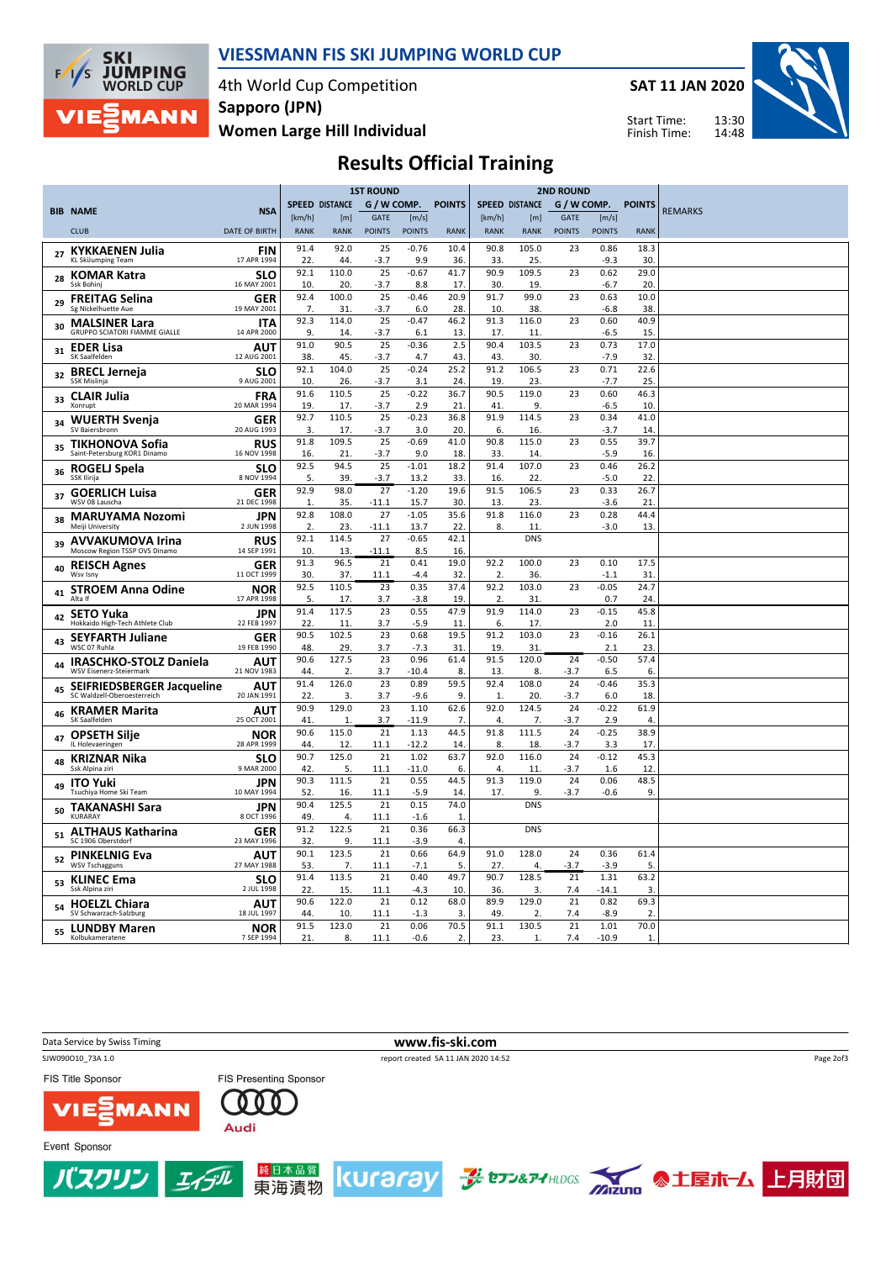

#### VIESSMANN FIS SKI JUMPING WORLD CUP

4th World Cup Competition Sapporo (JPN)

Women Large Hill Individual

SAT 11 JAN 2020



Start Time: Finish Time:

# Results Official Training

|    |                                                          |                           |             |                       | <b>1ST ROUND</b>       |                 |                        |                       |                  | <b>2ND ROUND</b> |                |                        |                |
|----|----------------------------------------------------------|---------------------------|-------------|-----------------------|------------------------|-----------------|------------------------|-----------------------|------------------|------------------|----------------|------------------------|----------------|
|    | <b>BIB NAME</b>                                          | <b>NSA</b>                |             | <b>SPEED DISTANCE</b> | G / W COMP.            |                 | <b>POINTS</b>          | <b>SPEED DISTANCE</b> |                  |                  |                | G / W COMP. POINTS     | <b>REMARKS</b> |
|    |                                                          |                           | [km/h]      | [m]                   | <b>GATE</b>            | [m/s]           |                        | [km/h]                | [m]              | <b>GATE</b>      | [m/s]          |                        |                |
|    | <b>CLUB</b>                                              | <b>DATE OF BIRTH</b>      | <b>RANK</b> | <b>RANK</b>           | <b>POINTS</b>          | <b>POINTS</b>   | <b>RANK</b>            | <b>RANK</b>           | <b>RANK</b>      | <b>POINTS</b>    | <b>POINTS</b>  | <b>RANK</b>            |                |
|    | <b>KYKKAENEN Julia</b>                                   | <b>FIN</b>                | 91.4        | 92.0                  | 25                     | $-0.76$         | 10.4                   | 90.8                  | 105.0            | 23               | 0.86           | 18.3                   |                |
|    | <b>KL SkiJumping Team</b>                                | 17 APR 1994               | 22          | 44                    | $-3.7$                 | 9.9             | 36.                    | 33.                   | 25.              |                  | $-9.3$         | 30.                    |                |
| 28 | <b>KOMAR Katra</b>                                       | <b>SLO</b>                | 92.1        | 110.0                 | 25                     | $-0.67$         | 41.7                   | 90.9                  | 109.5            | 23               | 0.62           | 29.0                   |                |
|    | Ssk Bohinj                                               | 16 MAY 2001               | 10.         | 20.                   | $-3.7$                 | 8.8             | 17.                    | 30.                   | 19.              |                  | -6.7           | 20                     |                |
| 29 | <b>FREITAG Selina</b>                                    | <b>GER</b>                | 92.4        | 100.0                 | 25                     | $-0.46$         | 20.9                   | 91.7                  | 99.0             | 23               | 0.63           | 10.0                   |                |
|    | Sg Nickelhuette Aue                                      | 19 MAY 2001               | 7.          | 31.                   | -3.7                   | 6.0             | 28.                    | 10.                   | 38.              |                  | $-6.8$         | 38.                    |                |
| 30 | <b>MALSINER Lara</b><br>GRUPPO SCIATORI FIAMME GIALLE    | <b>ITA</b><br>14 APR 2000 | 92.3<br>9.  | 114.0<br>14           | 25<br>$-3.7$           | $-0.47$<br>6.1  | 46.2<br>13.            | 91.3<br>17.           | 116.0<br>11      | 23               | 0.60<br>$-6.5$ | 40.9<br>15.            |                |
|    | <b>EDER Lisa</b>                                         | AUT                       | 91.0        | 90.5                  | 25                     | $-0.36$         | 2.5                    | 90.4                  | 103.5            | 23               | 0.73           | 17.0                   |                |
| 31 | SK Saalfelden                                            | 12 AUG 2001               | 38.         | 45.                   | $-3.7$                 | 4.7             | 43.                    | 43.                   | 30.              |                  | $-7.9$         | 32.                    |                |
| 32 | <b>BRECL Jerneja</b>                                     | <b>SLO</b>                | 92.1        | 104.0                 | 25                     | $-0.24$         | 25.2                   | 91.2                  | 106.5            | 23               | 0.71           | 22.6                   |                |
|    | SSK Mislinja                                             | 9 AUG 2001                | 10.         | 26.                   | $-3.7$                 | 3.1             | 24.                    | 19.                   | 23.              |                  | $-7.7$         | 25.                    |                |
| 33 | <b>CLAIR Julia</b>                                       | <b>FRA</b>                | 91.6        | 110.5                 | 25                     | $-0.22$         | 36.7                   | 90.5                  | 119.0            | 23               | 0.60           | 46.3                   |                |
|    | Xonrupt                                                  | 20 MAR 1994               | 19.<br>92.7 | 17.<br>110.5          | -3.7<br>25             | 2.9<br>$-0.23$  | 21                     | 41<br>91.9            | 9.<br>114.5      |                  | $-6.5$         | 10                     |                |
| 34 | <b>WUERTH Svenja</b><br>SV Baiersbronn                   | <b>GER</b><br>20 AUG 1993 | 3.          | 17.                   | $-3.7$                 | 3.0             | 36.8<br>20.            | 6.                    | 16.              | 23               | 0.34<br>$-3.7$ | 41.0<br>14             |                |
|    | TIKHONOVA Sofia                                          | <b>RUS</b>                | 91.8        | 109.5                 | 25                     | $-0.69$         | 41.0                   | 90.8                  | 115.0            | 23               | 0.55           | 39.7                   |                |
| 35 | Saint-Petersburg KOR1 Dinamo                             | 16 NOV 1998               | 16.         | 21.                   | $-3.7$                 | 9.0             | 18.                    | 33.                   | 14               |                  | $-5.9$         | 16.                    |                |
|    | ROGELJ Spela                                             | <b>SLO</b>                | 92.5        | 94.5                  | $\overline{25}$        | $-1.01$         | 18.2                   | 91.4                  | 107.0            | 23               | 0.46           | 26.2                   |                |
| 36 | <b>SSK Ilirija</b>                                       | 8 NOV 1994                | 5.          | 39.                   | $-3.7$                 | 13.2            | 33.                    | 16.                   | 22               |                  | $-5.0$         | 22.                    |                |
| 37 | <b>GOERLICH Luisa</b>                                    | GER                       | 92.9        | 98.0                  | 27                     | $-1.20$         | 19.6                   | 91.5                  | 106.5            | 23               | 0.33           | 26.7                   |                |
|    | WSV 08 Lauscha                                           | 21 DEC 1998               | 1.          | 35.                   | $-11.1$                | 15.7            | 30.                    | 13.                   | 23.              |                  | $-3.6$         | 21                     |                |
| 38 | <b>MARUYAMA Nozomi</b>                                   | <b>JPN</b>                | 92.8        | 108.0                 | 27                     | $-1.05$         | 35.6                   | 91.8                  | 116.0            | 23               | 0.28           | 44.4                   |                |
|    | Meiji University                                         | 2 JUN 1998                | 2.<br>92.1  | 23.<br>114.5          | $-11.1$<br>27          | 13.7<br>$-0.65$ | 22.<br>42.1            | 8.                    | 11<br><b>DNS</b> |                  | $-3.0$         | 13.                    |                |
| 39 | <b>AVVAKUMOVA Irina</b><br>Moscow Region TSSP OVS Dinamo | <b>RUS</b><br>14 SEP 1991 | 10.         | 13                    | $-11.1$                | 8.5             | 16.                    |                       |                  |                  |                |                        |                |
|    | <b>REISCH Agnes</b>                                      | GER                       | 91.3        | 96.5                  | 21                     | 0.41            | 19.0                   | 92.2                  | 100.0            | 23               | 0.10           | 17.5                   |                |
| 40 | Wsv Isnv                                                 | 11 OCT 1999               | 30.         | 37.                   | 11.1                   | $-4.4$          | 32.                    | 2.                    | 36.              |                  | $-1.1$         | 31.                    |                |
| 41 | <b>STROEM Anna Odine</b>                                 | NOR                       | 92.5        | 110.5                 | 23                     | 0.35            | 37.4                   | 92.2                  | 103.0            | 23               | $-0.05$        | 24.7                   |                |
|    | Alta If                                                  | 17 APR 1998               | 5.          | 17.                   | 3.7                    | $-3.8$          | 19.                    | $\overline{2}$        | 31               |                  | 0.7            | 24.                    |                |
| 42 | <b>SETO Yuka</b>                                         | <b>JPN</b>                | 91.4        | 117.5                 | 23                     | 0.55            | 47.9                   | 91.9                  | 114.0            | 23               | $-0.15$        | 45.8                   |                |
|    | Hokkaido High-Tech Athlete Club                          | 22 FEB 1997               | 22.<br>90.5 | 11<br>102.5           | 3.7<br>23              | $-5.9$<br>0.68  | 11<br>19.5             | 6.<br>91.2            | 17.<br>103.0     | 23               | 2.0<br>$-0.16$ | 11<br>26.1             |                |
| 43 | <b>SEYFARTH Juliane</b><br>WSC 07 Ruhla                  | <b>GER</b><br>19 FEB 1990 | 48.         | 29.                   | 3.7                    | $-7.3$          | 31.                    | 19.                   | 31               |                  | 2.1            | 23.                    |                |
|    | <b>IRASCHKO-STOLZ Daniela</b>                            | <b>AUT</b>                | 90.6        | 127.5                 | 23                     | 0.96            | 61.4                   | 91.5                  | 120.0            | $\overline{24}$  | $-0.50$        | 57.4                   |                |
| 44 | WSV Eisenerz-Steiermark                                  | 21 NOV 1983               | 44.         | 2.                    | 3.7                    | $-10.4$         | 8.                     | 13.                   | 8.               | $-3.7$           | 6.5            | 6.                     |                |
| 45 | SEIFRIEDSBERGER Jacqueline                               | <b>AUT</b>                | 91.4        | 126.0                 | 23                     | 0.89            | 59.5                   | 92.4                  | 108.0            | 24               | $-0.46$        | 35.3                   |                |
|    | SC Waldzell-Oberoesterreich                              | 20 JAN 1991               | 22.         | 3.                    | 3.7                    | $-9.6$          | 9.                     | 1.                    | 20.              | $-3.7$           | 6.0            | 18.                    |                |
| 46 | <b>KRAMER Marita</b>                                     | <b>AUT</b>                | 90.9        | 129.0                 | 23                     | 1.10            | 62.6                   | 92.0                  | 124.5            | 24               | $-0.22$        | 61.9                   |                |
|    | SK Saalfelden                                            | 25 OCT 2001               | 41.<br>90.6 | $\mathbf{1}$<br>115.0 | 3.7<br>$\overline{21}$ | $-11.9$<br>1.13 | 7.<br>44.5             | 4.<br>91.8            | 7.<br>111.5      | $-3.7$<br>24     | 2.9<br>$-0.25$ | 4<br>38.9              |                |
| 47 | <b>OPSETH Silje</b><br>IL Holevaeringen                  | <b>NOR</b><br>28 APR 1999 | 44          | 12                    | 11.1                   | $-12.2$         | 14                     | 8.                    | 18               | $-3.7$           | 3.3            | 17.                    |                |
|    | <b>KRIZNAR Nika</b>                                      | <b>SLO</b>                | 90.7        | 125.0                 | 21                     | 1.02            | 63.7                   | 92.0                  | 116.0            | 24               | $-0.12$        | 45.3                   |                |
| 48 | Ssk Alpina ziri                                          | 9 MAR 2000                | 42.         | 5.                    | 11.1                   | $-11.0$         | 6.                     | 4.                    | 11.              | -3.7             | 1.6            | 12                     |                |
| 49 | <b>ITO Yuki</b>                                          | <b>JPN</b>                | 90.3        | 111.5                 | 21                     | 0.55            | 44.5                   | 91.3                  | 119.0            | 24               | 0.06           | 48.5                   |                |
|    | Tsuchiya Home Ski Team                                   | 10 MAY 1994               | 52.         | 16.                   | 11.1                   | $-5.9$          | 14.                    | 17.                   | 9.               | $-3.7$           | $-0.6$         | 9.                     |                |
| 50 | <b>TAKANASHI Sara</b><br>KURARAY                         | JPN<br>8 OCT 1996         | 90.4        | 125.5                 | 21                     | 0.15            | 74.0                   |                       | <b>DNS</b>       |                  |                |                        |                |
|    |                                                          |                           | 49.<br>91.2 | 4.<br>122.5           | 11.1<br>21             | $-1.6$<br>0.36  | 1.<br>66.3             |                       | <b>DNS</b>       |                  |                |                        |                |
| 51 | <b>ALTHAUS Katharina</b><br>SC 1906 Oberstdorf           | GER<br>23 MAY 1996        | 32.         | 9.                    | 11.1                   | $-3.9$          | 4.                     |                       |                  |                  |                |                        |                |
|    | <b>PINKELNIG Eva</b>                                     | AUT                       | 90.1        | 123.5                 | 21                     | 0.66            | 64.9                   | 91.0                  | 128.0            | 24               | 0.36           | 61.4                   |                |
| 52 | <b>WSV Tschagguns</b>                                    | 27 MAY 1988               | 53.         | 7.                    | 11.1                   | $-7.1$          | 5.                     | 27.                   | 4.               | -3.7             | $-3.9$         | 5.                     |                |
| 53 | <b>KLINEC Ema</b>                                        | <b>SLO</b>                | 91.4        | 113.5                 | 21                     | 0.40            | 49.7                   | 90.7                  | 128.5            | 21               | 1.31           | 63.2                   |                |
|    | Ssk Alpina ziri                                          | 2 JUL 1998                | 22.         | 15.                   | 11.1                   | $-4.3$          | 10.                    | 36.                   | 3.               | 7.4              | $-14.1$        | 3.                     |                |
|    | <b>HOELZL Chiara</b><br>SV Schwarzach-Salzburg           | <b>AUT</b><br>18 JUL 1997 | 90.6<br>44. | 122.0<br>10.          | 21<br>11.1             | 0.12<br>$-1.3$  | 68.0<br>$\overline{3}$ | 89.9<br>49.           | 129.0<br>2.      | 21<br>7.4        | 0.82<br>$-8.9$ | 69.3<br>$\overline{2}$ |                |
|    |                                                          |                           | 91.5        | 123.0                 | 21                     | 0.06            | 70.5                   | 91.1                  | 130.5            | 21               | 1.01           | 70.0                   |                |
| 55 | <b>LUNDBY Maren</b><br>Kolbukameratene                   | <b>NOR</b><br>7 SEP 1994  | 21.         | 8.                    | 11.1                   | $-0.6$          | 2.                     | 23.                   | 1.               | 7.4              | $-10.9$        | 1.                     |                |